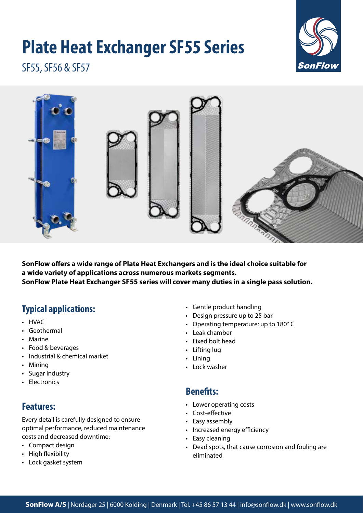# **Plate Heat Exchanger SF55 Series**



SF55, SF56 & SF57



**SonFlow offers a wide range of Plate Heat Exchangers and is the ideal choice suitable for a wide variety of applications across numerous markets segments. SonFlow Plate Heat Exchanger SF55 series will cover many duties in a single pass solution.** 

# **Typical applications:**

- HVAC
- Geothermal
- Marine
- Food & beverages
- Industrial & chemical market
- Mining
- Sugar industry
- Electronics

# **Features:**

Every detail is carefully designed to ensure optimal performance, reduced maintenance costs and decreased downtime:

- Compact design
- High flexibility
- Lock gasket system
- Gentle product handling
- Design pressure up to 25 bar
- Operating temperature: up to 180° C
- Leak chamber
- Fixed bolt head
- Lifting lug
- Lining
- Lock washer

#### **Benefits:**

- Lower operating costs
- Cost-effective
- Easy assembly
- Increased energy efficiency
- Easy cleaning
- Dead spots, that cause corrosion and fouling are eliminated